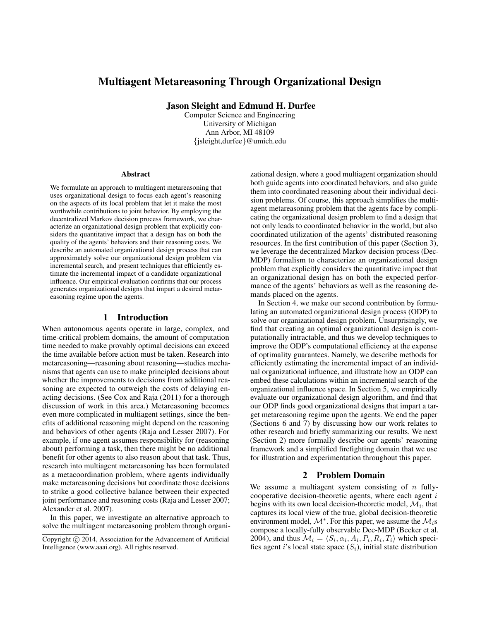# Multiagent Metareasoning Through Organizational Design

Jason Sleight and Edmund H. Durfee

Computer Science and Engineering University of Michigan Ann Arbor, MI 48109 {jsleight,durfee}@umich.edu

#### Abstract

We formulate an approach to multiagent metareasoning that uses organizational design to focus each agent's reasoning on the aspects of its local problem that let it make the most worthwhile contributions to joint behavior. By employing the decentralized Markov decision process framework, we characterize an organizational design problem that explicitly considers the quantitative impact that a design has on both the quality of the agents' behaviors and their reasoning costs. We describe an automated organizational design process that can approximately solve our organizational design problem via incremental search, and present techniques that efficiently estimate the incremental impact of a candidate organizational influence. Our empirical evaluation confirms that our process generates organizational designs that impart a desired metareasoning regime upon the agents.

### 1 Introduction

When autonomous agents operate in large, complex, and time-critical problem domains, the amount of computation time needed to make provably optimal decisions can exceed the time available before action must be taken. Research into metareasoning—reasoning about reasoning—studies mechanisms that agents can use to make principled decisions about whether the improvements to decisions from additional reasoning are expected to outweigh the costs of delaying enacting decisions. (See Cox and Raja (2011) for a thorough discussion of work in this area.) Metareasoning becomes even more complicated in multiagent settings, since the benefits of additional reasoning might depend on the reasoning and behaviors of other agents (Raja and Lesser 2007). For example, if one agent assumes responsibility for (reasoning about) performing a task, then there might be no additional benefit for other agents to also reason about that task. Thus, research into multiagent metareasoning has been formulated as a metacoordination problem, where agents individually make metareasoning decisions but coordinate those decisions to strike a good collective balance between their expected joint performance and reasoning costs (Raja and Lesser 2007; Alexander et al. 2007).

In this paper, we investigate an alternative approach to solve the multiagent metareasoning problem through organizational design, where a good multiagent organization should both guide agents into coordinated behaviors, and also guide them into coordinated reasoning about their individual decision problems. Of course, this approach simplifies the multiagent metareasoning problem that the agents face by complicating the organizational design problem to find a design that not only leads to coordinated behavior in the world, but also coordinated utilization of the agents' distributed reasoning resources. In the first contribution of this paper (Section 3), we leverage the decentralized Markov decision process (Dec-MDP) formalism to characterize an organizational design problem that explicitly considers the quantitative impact that an organizational design has on both the expected performance of the agents' behaviors as well as the reasoning demands placed on the agents.

In Section 4, we make our second contribution by formulating an automated organizational design process (ODP) to solve our organizational design problem. Unsurprisingly, we find that creating an optimal organizational design is computationally intractable, and thus we develop techniques to improve the ODP's computational efficiency at the expense of optimality guarantees. Namely, we describe methods for efficiently estimating the incremental impact of an individual organizational influence, and illustrate how an ODP can embed these calculations within an incremental search of the organizational influence space. In Section 5, we empirically evaluate our organizational design algorithm, and find that our ODP finds good organizational designs that impart a target metareasoning regime upon the agents. We end the paper (Sections 6 and 7) by discussing how our work relates to other research and briefly summarizing our results. We next (Section 2) more formally describe our agents' reasoning framework and a simplified firefighting domain that we use for illustration and experimentation throughout this paper.

### 2 Problem Domain

We assume a multiagent system consisting of  $n$  fullycooperative decision-theoretic agents, where each agent  $i$ begins with its own local decision-theoretic model,  $\mathcal{M}_i$ , that captures its local view of the true, global decision-theoretic environment model,  $\mathcal{M}^*$ . For this paper, we assume the  $\mathcal{M}_i$ s compose a locally-fully observable Dec-MDP (Becker et al. 2004), and thus  $\mathcal{M}_i = \langle S_i, \alpha_i, A_i, P_i, R_i, T_i \rangle$  which specifies agent i's local state space  $(S_i)$ , initial state distribution

Copyright (c) 2014, Association for the Advancement of Artificial Intelligence (www.aaai.org). All rights reserved.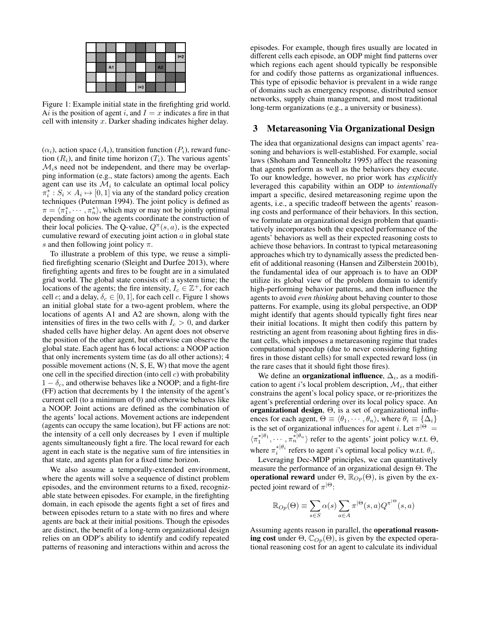|  |                |  |       |    | $I=2$ |
|--|----------------|--|-------|----|-------|
|  | A <sub>1</sub> |  |       | A2 |       |
|  |                |  |       |    |       |
|  |                |  | $I=3$ |    |       |

Figure 1: Example initial state in the firefighting grid world. Ai is the position of agent i, and  $I = x$  indicates a fire in that cell with intensity  $x$ . Darker shading indicates higher delay.

 $(\alpha_i)$ , action space  $(A_i)$ , transition function  $(P_i)$ , reward function  $(R_i)$ , and finite time horizon  $(T_i)$ . The various agents'  $\mathcal{M}_i$ s need not be independent, and there may be overlapping information (e.g., state factors) among the agents. Each agent can use its  $\mathcal{M}_i$  to calculate an optimal local policy  $\pi_i^*: S_i \times A_i \mapsto [0, 1]$  via any of the standard policy creation techniques (Puterman 1994). The joint policy is defined as  $\pi = \langle \pi_1^*, \cdots, \pi_n^* \rangle$ , which may or may not be jointly optimal depending on how the agents coordinate the construction of their local policies. The Q-value,  $Q^{\pi}(s, a)$ , is the expected cumulative reward of executing joint action  $a$  in global state s and then following joint policy  $\pi$ .

To illustrate a problem of this type, we reuse a simplified firefighting scenario (Sleight and Durfee 2013), where firefighting agents and fires to be fought are in a simulated grid world. The global state consists of: a system time; the locations of the agents; the fire intensity,  $I_c \in \mathbb{Z}^+$ , for each cell c; and a delay,  $\delta_c \in [0, 1]$ , for each cell c. Figure 1 shows an initial global state for a two-agent problem, where the locations of agents A1 and A2 are shown, along with the intensities of fires in the two cells with  $I_c > 0$ , and darker shaded cells have higher delay. An agent does not observe the position of the other agent, but otherwise can observe the global state. Each agent has 6 local actions: a NOOP action that only increments system time (as do all other actions); 4 possible movement actions (N, S, E, W) that move the agent one cell in the specified direction (into cell  $c$ ) with probability  $1 - \delta_c$ , and otherwise behaves like a NOOP; and a fight-fire (FF) action that decrements by 1 the intensity of the agent's current cell (to a minimum of 0) and otherwise behaves like a NOOP. Joint actions are defined as the combination of the agents' local actions. Movement actions are independent (agents can occupy the same location), but FF actions are not: the intensity of a cell only decreases by 1 even if multiple agents simultaneously fight a fire. The local reward for each agent in each state is the negative sum of fire intensities in that state, and agents plan for a fixed time horizon.

We also assume a temporally-extended environment, where the agents will solve a sequence of distinct problem episodes, and the environment returns to a fixed, recognizable state between episodes. For example, in the firefighting domain, in each episode the agents fight a set of fires and between episodes return to a state with no fires and where agents are back at their initial positions. Though the episodes are distinct, the benefit of a long-term organizational design relies on an ODP's ability to identify and codify repeated patterns of reasoning and interactions within and across the

episodes. For example, though fires usually are located in different cells each episode, an ODP might find patterns over which regions each agent should typically be responsible for and codify those patterns as organizational influences. This type of episodic behavior is prevalent in a wide range of domains such as emergency response, distributed sensor networks, supply chain management, and most traditional long-term organizations (e.g., a university or business).

## 3 Metareasoning Via Organizational Design

The idea that organizational designs can impact agents' reasoning and behaviors is well-established. For example, social laws (Shoham and Tennenholtz 1995) affect the reasoning that agents perform as well as the behaviors they execute. To our knowledge, however, no prior work has *explicitly* leveraged this capability within an ODP to *intentionally* impart a specific, desired metareasoning regime upon the agents, i.e., a specific tradeoff between the agents' reasoning costs and performance of their behaviors. In this section, we formulate an organizational design problem that quantitatively incorporates both the expected performance of the agents' behaviors as well as their expected reasoning costs to achieve those behaviors. In contrast to typical metareasoning approaches which try to dynamically assess the predicted benefit of additional reasoning (Hansen and Zilberstein 2001b), the fundamental idea of our approach is to have an ODP utilize its global view of the problem domain to identify high-performing behavior patterns, and then influence the agents to avoid *even thinking* about behaving counter to those patterns. For example, using its global perspective, an ODP might identify that agents should typically fight fires near their initial locations. It might then codify this pattern by restricting an agent from reasoning about fighting fires in distant cells, which imposes a metareasoning regime that trades computational speedup (due to never considering fighting fires in those distant cells) for small expected reward loss (in the rare cases that it should fight those fires).

We define an **organizational influence**,  $\Delta_i$ , as a modification to agent i's local problem description,  $\mathcal{M}_i$ , that either constrains the agent's local policy space, or re-prioritizes the agent's preferential ordering over its local policy space. An organizational design, Θ, is a set of organizational influences for each agent,  $\Theta \equiv \langle \theta_1, \cdots, \theta_n \rangle$ , where  $\theta_i \equiv \{ \Delta_i \}$ is the set of organizational influences for agent *i*. Let  $\pi^{|\Theta|} =$  $\langle \pi_1^{*|\theta_1}, \cdots, \pi_n^{*|\theta_n} \rangle$  refer to the agents' joint policy w.r.t.  $\Theta$ , where  $\pi_i^{*|\theta_i}$  refers to agent *i*'s optimal local policy w.r.t.  $\theta_i$ .

Leveraging Dec-MDP principles, we can quantitatively measure the performance of an organizational design Θ. The **operational reward** under  $\Theta$ ,  $\mathbb{R}_{Op}(\Theta)$ , is given by the expected joint reward of  $\pi^{|\Theta}$ :

$$
\mathbb{R}_{Op}(\Theta) \equiv \sum_{s \in S} \alpha(s) \sum_{a \in A} \pi^{|\Theta}(s, a) Q^{\pi^{|\Theta}}(s, a)
$$

Assuming agents reason in parallel, the operational reasoning cost under  $\Theta$ ,  $\mathbb{C}_{Op}(\Theta)$ , is given by the expected operational reasoning cost for an agent to calculate its individual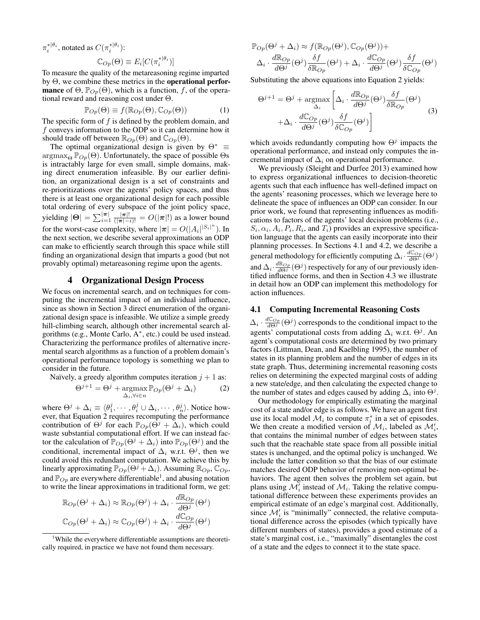$\pi_i^{*|\theta_i}$ , notated as  $C(\pi_i^{*|\theta_i})$ :

$$
\mathbb{C}_{Op}(\Theta) \equiv E_i[C(\pi_i^{*|\theta_i})]
$$

To measure the quality of the metareasoning regime imparted by Θ, we combine these metrics in the operational perfor**mance** of  $\Theta$ ,  $\mathbb{P}_{Op}(\Theta)$ , which is a function, f, of the operational reward and reasoning cost under Θ.

$$
\mathbb{P}_{Op}(\Theta) \equiv f(\mathbb{R}_{Op}(\Theta), \mathbb{C}_{Op}(\Theta))
$$
 (1)

∗|θ<sup>i</sup>

The specific form of  $f$  is defined by the problem domain, and f conveys information to the ODP so it can determine how it should trade off between  $\mathbb{R}_{Op}(\Theta)$  and  $\mathbb{C}_{Op}(\Theta)$ .

The optimal organizational design is given by  $\Theta^*$  =  $\argmax_{\Theta} \mathbb{P}_{Op}(\Theta)$ . Unfortunately, the space of possible  $\Theta$ s is intractably large for even small, simple domains, making direct enumeration infeasible. By our earlier definition, an organizational design is a set of constraints and re-prioritizations over the agents' policy spaces, and thus there is at least one organizational design for each possible total ordering of every subspace of the joint policy space, yielding  $|\Theta| = \sum_{i=1}^{|\pi|} \frac{|\pi|!}{(|\pi| - i)!} = O(|\pi|!)$  as a lower bound for the worst-case complexity, where  $|\pi| = O(|A_i| |S_i|^n)$ . In the next section, we describe several approximations an ODP can make to efficiently search through this space while still finding an organizational design that imparts a good (but not provably optimal) metareasoning regime upon the agents.

#### 4 Organizational Design Process

We focus on incremental search, and on techniques for computing the incremental impact of an individual influence, since as shown in Section 3 direct enumeration of the organizational design space is infeasible. We utilize a simple greedy hill-climbing search, although other incremental search algorithms (e.g., Monte Carlo, A<sup>∗</sup> , etc.) could be used instead. Characterizing the performance profiles of alternative incremental search algorithms as a function of a problem domain's operational performance topology is something we plan to consider in the future.

Naïvely, a greedy algorithm computes iteration 
$$
j + 1
$$
 as:  
\n
$$
\Theta^{j+1} = \Theta^j + \underset{\Delta_i, \forall i \in n}{\text{argmax}} \mathbb{P}_{Op}(\Theta^j + \Delta_i)
$$
\n(2)

where  $\Theta^j + \Delta_i \equiv \langle \theta_1^j, \cdots, \theta_i^j \cup \Delta_i, \cdots, \theta_n^j \rangle$ . Notice however, that Equation 2 requires recomputing the performance contribution of  $\Theta^j$  for each  $\mathbb{P}_{Op}(\Theta^j + \Delta_i)$ , which could waste substantial computational effort. If we can instead factor the calculation of  $\mathbb{P}_{Op}(\Theta^j + \Delta_i)$  into  $\mathbb{P}_{Op}(\Theta^j)$  and the conditional, incremental impact of  $\Delta_i$  w.r.t.  $\Theta^j$ , then we could avoid this redundant computation. We achieve this by linearly approximating  $\mathbb{P}_{Op}(\Theta^j + \Delta_i)$ . Assuming  $\mathbb{R}_{Op}$ ,  $\mathbb{C}_{Op}$ , and  $\mathbb{P}_{Op}$  are everywhere differentiable<sup>1</sup>, and abusing notation to write the linear approximations in traditional form, we get:

$$
\mathbb{R}_{Op}(\Theta^j + \Delta_i) \approx \mathbb{R}_{Op}(\Theta^j) + \Delta_i \cdot \frac{d\mathbb{R}_{Op}}{d\Theta^j}(\Theta^j)
$$

$$
\mathbb{C}_{Op}(\Theta^j + \Delta_i) \approx \mathbb{C}_{Op}(\Theta^j) + \Delta_i \cdot \frac{d\mathbb{C}_{Op}}{d\Theta^j}(\Theta^j)
$$

$$
\mathbb{P}_{Op}(\Theta^j + \Delta_i) \approx f(\mathbb{R}_{Op}(\Theta^j), \mathbb{C}_{Op}(\Theta^j)) +
$$

$$
\Delta_i \cdot \frac{d\mathbb{R}_{Op}}{d\Theta^j}(\Theta^j) \frac{\delta f}{\delta \mathbb{R}_{Op}}(\Theta^j) + \Delta_i \cdot \frac{d\mathbb{C}_{Op}}{d\Theta^j}(\Theta^j) \frac{\delta f}{\delta \mathbb{C}_{Op}}(\Theta^j)
$$

Substituting the above equations into Equation 2 yields:

$$
\Theta^{j+1} = \Theta^j + \underset{\Delta_i}{\text{argmax}} \left[ \Delta_i \cdot \frac{d \mathbb{R}_{Op}}{d \Theta^j} (\Theta^j) \frac{\delta f}{\delta \mathbb{R}_{Op}} (\Theta^j) \right] + \Delta_i \cdot \frac{d \mathbb{C}_{Op}}{d \Theta^j} (\Theta^j) \frac{\delta f}{\delta \mathbb{C}_{Op}} (\Theta^j) \right]
$$
(3)

which avoids redundantly computing how  $\Theta^j$  impacts the operational performance, and instead only computes the incremental impact of  $\Delta_i$  on operational performance.

We previously (Sleight and Durfee 2013) examined how to express organizational influences to decision-theoretic agents such that each influence has well-defined impact on the agents' reasoning processes, which we leverage here to delineate the space of influences an ODP can consider. In our prior work, we found that representing influences as modifications to factors of the agents' local decision problems (i.e.,  $S_i, \alpha_i, A_i, P_i, R_i$ , and  $T_i$ ) provides an expressive specification language that the agents can easily incorporate into their planning processes. In Sections 4.1 and 4.2, we describe a general methodology for efficiently computing  $\Delta_i \cdot \frac{dC_{Op}}{d\Theta^j}(\Theta^j)$ and  $\Delta_i \cdot \frac{d\mathbb{R}_{Op}}{d\Theta^j}(\Theta^j)$  respectively for any of our previously identified influence forms, and then in Section 4.3 we illustrate in detail how an ODP can implement this methodology for action influences.

## 4.1 Computing Incremental Reasoning Costs

 $\Delta_i \cdot \frac{dCo_p}{d\Theta^j}(\Theta^j)$  corresponds to the conditional impact to the agents' computational costs from adding  $\Delta_i$  w.r.t.  $\Theta^j$ . An agent's computational costs are determined by two primary factors (Littman, Dean, and Kaelbling 1995), the number of states in its planning problem and the number of edges in its state graph. Thus, determining incremental reasoning costs relies on determining the expected marginal costs of adding a new state/edge, and then calculating the expected change to the number of states and edges caused by adding  $\Delta_i$  into  $\Theta^j$ .

Our methodology for empirically estimating the marginal cost of a state and/or edge is as follows. We have an agent first use its local model  $\mathcal{M}_i$  to compute  $\pi_i^*$  in a set of episodes. We then create a modified version of  $\mathcal{M}_i$ , labeled as  $\mathcal{M}'_i$ , that contains the minimal number of edges between states such that the reachable state space from all possible initial states is unchanged, and the optimal policy is unchanged. We include the latter condition so that the bias of our estimate matches desired ODP behavior of removing non-optimal behaviors. The agent then solves the problem set again, but plans using  $\mathcal{M}_i$  instead of  $\mathcal{M}_i$ . Taking the relative computational difference between these experiments provides an empirical estimate of an edge's marginal cost. Additionally, since  $\mathcal{M}'_i$  is "minimally" connected, the relative computational difference across the episodes (which typically have different numbers of states), provides a good estimate of a state's marginal cost, i.e., "maximally" disentangles the cost of a state and the edges to connect it to the state space.

<sup>&</sup>lt;sup>1</sup>While the everywhere differentiable assumptions are theoretically required, in practice we have not found them necessary.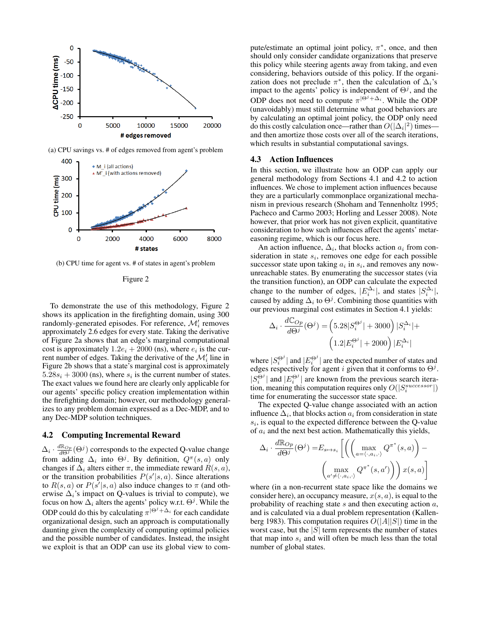

(a) CPU savings vs. # of edges removed from agent's problem



(b) CPU time for agent vs. # of states in agent's problem

| uur |  |
|-----|--|
|-----|--|

To demonstrate the use of this methodology, Figure 2 shows its application in the firefighting domain, using 300 randomly-generated episodes. For reference,  $\mathcal{M}'_i$  removes approximately 2.6 edges for every state. Taking the derivative of Figure 2a shows that an edge's marginal computational cost is approximately  $1.2e_i + 2000$  (ns), where  $e_i$  is the current number of edges. Taking the derivative of the  $\mathcal{M}'_i$  line in Figure 2b shows that a state's marginal cost is approximately  $5.28s_i + 3000$  (ns), where  $s_i$  is the current number of states. The exact values we found here are clearly only applicable for our agents' specific policy creation implementation within the firefighting domain; however, our methodology generalizes to any problem domain expressed as a Dec-MDP, and to any Dec-MDP solution techniques.

#### 4.2 Computing Incremental Reward

 $\Delta_i \cdot \frac{d\mathbb{R}_{Op}}{d\Theta^j}(\Theta^j)$  corresponds to the expected Q-value change from adding  $\Delta_i$  into  $\Theta^j$ . By definition,  $Q^{\pi}(s, a)$  only changes if  $\Delta_i$  alters either  $\pi$ , the immediate reward  $R(s, a)$ , or the transition probabilities  $P(s'|s, a)$ . Since alterations to  $R(s, a)$  or  $P(s'|s, a)$  also induce changes to  $\pi$  (and otherwise  $\Delta_i$ 's impact on Q-values is trivial to compute), we focus on how  $\Delta_i$  alters the agents' policy w.r.t.  $\Theta^j$ . While the ODP could do this by calculating  $\pi^{|\Theta^j+\Delta_i|}$  for each candidate organizational design, such an approach is computationally daunting given the complexity of computing optimal policies and the possible number of candidates. Instead, the insight we exploit is that an ODP can use its global view to com-

pute/estimate an optimal joint policy,  $\pi^*$ , once, and then should only consider candidate organizations that preserve this policy while steering agents away from taking, and even considering, behaviors outside of this policy. If the organization does not preclude  $\pi^*$ , then the calculation of  $\Delta_i$ 's impact to the agents' policy is independent of  $\Theta^j$ , and the ODP does not need to compute  $\pi^{|\Theta^j + \Delta_i|}$ . While the ODP (unavoidably) must still determine what good behaviors are by calculating an optimal joint policy, the ODP only need do this costly calculation once—rather than  $O(|\Delta_i|^2)$  times and then amortize those costs over all of the search iterations, which results in substantial computational savings.

#### 4.3 Action Influences

In this section, we illustrate how an ODP can apply our general methodology from Sections 4.1 and 4.2 to action influences. We chose to implement action influences because they are a particularly commonplace organizational mechanism in previous research (Shoham and Tennenholtz 1995; Pacheco and Carmo 2003; Horling and Lesser 2008). Note however, that prior work has not given explicit, quantitative consideration to how such influences affect the agents' metareasoning regime, which is our focus here.

An action influence,  $\Delta_i$ , that blocks action  $a_i$  from consideration in state  $s_i$ , removes one edge for each possible successor state upon taking  $a_i$  in  $s_i$ , and removes any nowunreachable states. By enumerating the successor states (via the transition function), an ODP can calculate the expected change to the number of edges,  $|E_i^{\Delta_i}|$ , and states  $|S_i^{\Delta_i}|$ , caused by adding  $\Delta_i$  to  $\Theta^j$ . Combining those quantities with our previous marginal cost estimates in Section 4.1 yields:

$$
\begin{split} \Delta_i \cdot \frac{d\mathbb{C}_{Op}}{d\Theta^j}(\Theta^j) = & \left(5.28|S_i^{\Theta^j}| + 3000\right)|S_i^{\Delta_i}| + \\ & \left(1.2|E_i^{\Theta^j}| + 2000\right)|E_i^{\Delta_i}| \end{split}
$$

where  $|S_i^{\Theta^j}|$  and  $|E_i^{\Theta^j}|$  are the expected number of states and edges respectively for agent i given that it conforms to  $\Theta^{j}$ .  $|S_i^{\Theta^j}|$  and  $|E_i^{\Theta^j}|$  are known from the previous search iteration, meaning this computation requires only  $O(|S_i^{successor}|)$ time for enumerating the successor state space.

The expected Q-value change associated with an action influence  $\Delta_i$ , that blocks action  $a_i$  from consideration in state  $s_i$ , is equal to the expected difference between the Q-value of  $a_i$  and the next best action. Mathematically this yields,

$$
\Delta_i \cdot \frac{d\mathbb{R}_{Op}}{d\Theta^j}(\Theta^j) = E_{s \mapsto s_i} \left[ \left( \left( \max_{a = \langle \cdot, a_i, \cdot \rangle} Q^{\pi^*}(s, a) \right) - \left( \max_{a' \neq \langle \cdot, a_i, \cdot \rangle} Q^{\pi^*}(s, a') \right) \right) x(s, a) \right]
$$

where (in a non-recurrent state space like the domains we consider here), an occupancy measure,  $x(s, a)$ , is equal to the probability of reaching state  $s$  and then executing action  $a$ , and is calculated via a dual problem representation (Kallenberg 1983). This computation requires  $O(|A||S|)$  time in the worst case, but the  $|S|$  term represents the number of states that map into  $s_i$  and will often be much less than the total number of global states.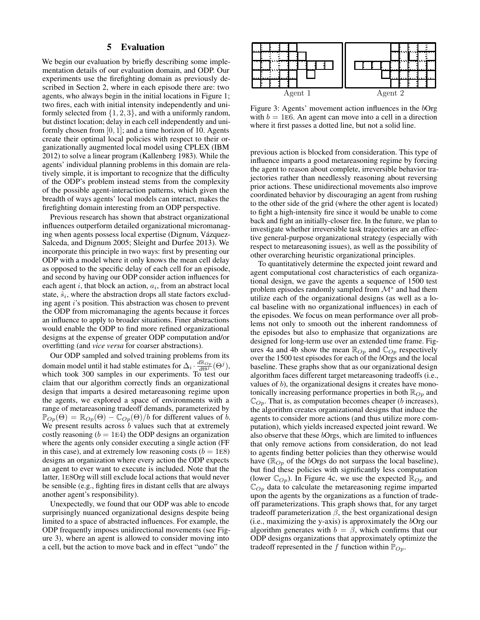# 5 Evaluation

We begin our evaluation by briefly describing some implementation details of our evaluation domain, and ODP. Our experiments use the firefighting domain as previously described in Section 2, where in each episode there are: two agents, who always begin in the initial locations in Figure 1; two fires, each with initial intensity independently and uniformly selected from  $\{1, 2, 3\}$ , and with a uniformly random, but distinct location; delay in each cell independently and uniformly chosen from  $[0, 1]$ ; and a time horizon of 10. Agents create their optimal local policies with respect to their organizationally augmented local model using CPLEX (IBM 2012) to solve a linear program (Kallenberg 1983). While the agents' individual planning problems in this domain are relatively simple, it is important to recognize that the difficulty of the ODP's problem instead stems from the complexity of the possible agent-interaction patterns, which given the breadth of ways agents' local models can interact, makes the firefighting domain interesting from an ODP perspective.

Previous research has shown that abstract organizational influences outperform detailed organizational micromanaging when agents possess local expertise (Dignum, Vázquez-Salceda, and Dignum 2005; Sleight and Durfee 2013). We incorporate this principle in two ways: first by presenting our ODP with a model where it only knows the mean cell delay as opposed to the specific delay of each cell for an episode, and second by having our ODP consider action influences for each agent  $i$ , that block an action,  $a_i$ , from an abstract local state,  $\hat{s}_i$ , where the abstraction drops all state factors excluding agent i's position. This abstraction was chosen to prevent the ODP from micromanaging the agents because it forces an influence to apply to broader situations. Finer abstractions would enable the ODP to find more refined organizational designs at the expense of greater ODP computation and/or overfitting (and *vice versa* for coarser abstractions).

Our ODP sampled and solved training problems from its domain model until it had stable estimates for  $\Delta_i \cdot \frac{d\mathbb{R}_{Op}}{d\Theta_i^j}(\Theta_i^j)$ , which took 300 samples in our experiments. To test our claim that our algorithm correctly finds an organizational design that imparts a desired metareasoning regime upon the agents, we explored a space of environments with a range of metareasoning tradeoff demands, parameterized by  $\mathbb{P}_{Op}(\Theta) = \mathbb{R}_{Op}(\Theta) - \mathbb{C}_{Op}(\Theta)/b$  for different values of b. We present results across  $\bar{b}$  values such that at extremely costly reasoning  $(b = 1E4)$  the ODP designs an organization where the agents only consider executing a single action (FF in this case), and at extremely low reasoning costs ( $b = 1E8$ ) designs an organization where every action the ODP expects an agent to ever want to execute is included. Note that the latter, 1E8Org will still exclude local actions that would never be sensible (e.g., fighting fires in distant cells that are always another agent's responsibility).

Unexpectedly, we found that our ODP was able to encode surprisingly nuanced organizational designs despite being limited to a space of abstracted influences. For example, the ODP frequently imposes unidirectional movements (see Figure 3), where an agent is allowed to consider moving into a cell, but the action to move back and in effect "undo" the



Figure 3: Agents' movement action influences in the bOrg with  $b = 1E6$ . An agent can move into a cell in a direction where it first passes a dotted line, but not a solid line.

previous action is blocked from consideration. This type of influence imparts a good metareasoning regime by forcing the agent to reason about complete, irreversible behavior trajectories rather than needlessly reasoning about reversing prior actions. These unidirectional movements also improve coordinated behavior by discouraging an agent from rushing to the other side of the grid (where the other agent is located) to fight a high-intensity fire since it would be unable to come back and fight an initially-closer fire. In the future, we plan to investigate whether irreversible task trajectories are an effective general-purpose organizational strategy (especially with respect to metareasoning issues), as well as the possibility of other overarching heuristic organizational principles.

To quantitatively determine the expected joint reward and agent computational cost characteristics of each organizational design, we gave the agents a sequence of 1500 test problem episodes randomly sampled from  $\mathcal{M}^*$  and had them utilize each of the organizational designs (as well as a local baseline with no organizational influences) in each of the episodes. We focus on mean performance over all problems not only to smooth out the inherent randomness of the episodes but also to emphasize that organizations are designed for long-term use over an extended time frame. Figures 4a and 4b show the mean  $\mathbb{R}_{Op}$  and  $\mathbb{C}_{Op}$  respectively over the 1500 test episodes for each of the bOrgs and the local baseline. These graphs show that as our organizational design algorithm faces different target metareasoning tradeoffs (i.e., values of  $b$ ), the organizational designs it creates have monotonically increasing performance properties in both  $\mathbb{R}_{Op}$  and  $\mathbb{C}_{Op}$ . That is, as computation becomes cheaper (b increases), the algorithm creates organizational designs that induce the agents to consider more actions (and thus utilize more computation), which yields increased expected joint reward. We also observe that these bOrgs, which are limited to influences that only remove actions from consideration, do not lead to agents finding better policies than they otherwise would have ( $\mathbb{R}_{Op}$  of the *b*Orgs do not surpass the local baseline), but find these policies with significantly less computation (lower  $\mathbb{C}_{Op}$ ). In Figure 4c, we use the expected  $\mathbb{R}_{Op}$  and  $\mathbb{C}_{Op}$  data to calculate the metareasoning regime imparted upon the agents by the organizations as a function of tradeoff parameterizations. This graph shows that, for any target tradeoff parameterization  $\beta$ , the best organizational design (i.e., maximizing the y-axis) is approximately the  $bOrg$  our algorithm generates with  $b = \beta$ , which confirms that our ODP designs organizations that approximately optimize the tradeoff represented in the f function within  $\mathbb{P}_{Op}$ .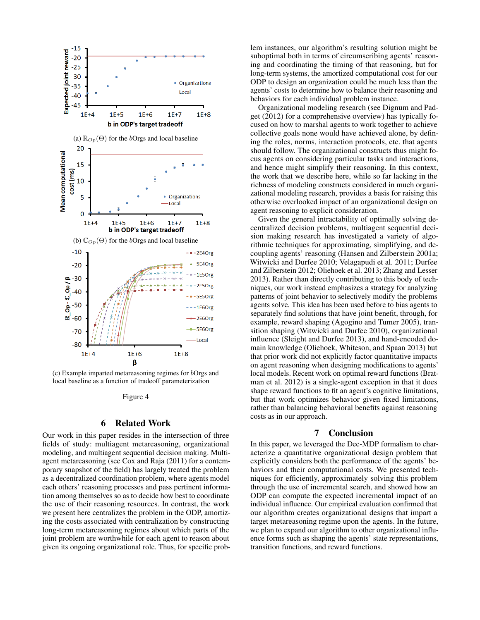

(c) Example imparted metareasoning regimes for bOrgs and local baseline as a function of tradeoff parameterization

Figure 4

#### 6 Related Work

Our work in this paper resides in the intersection of three fields of study: multiagent metareasoning, organizational modeling, and multiagent sequential decision making. Multiagent metareasoning (see Cox and Raja (2011) for a contemporary snapshot of the field) has largely treated the problem as a decentralized coordination problem, where agents model each others' reasoning processes and pass pertinent information among themselves so as to decide how best to coordinate the use of their reasoning resources. In contrast, the work we present here centralizes the problem in the ODP, amortizing the costs associated with centralization by constructing long-term metareasoning regimes about which parts of the joint problem are worthwhile for each agent to reason about given its ongoing organizational role. Thus, for specific problem instances, our algorithm's resulting solution might be suboptimal both in terms of circumscribing agents' reasoning and coordinating the timing of that reasoning, but for long-term systems, the amortized computational cost for our ODP to design an organization could be much less than the agents' costs to determine how to balance their reasoning and behaviors for each individual problem instance.

Organizational modeling research (see Dignum and Padget (2012) for a comprehensive overview) has typically focused on how to marshal agents to work together to achieve collective goals none would have achieved alone, by defining the roles, norms, interaction protocols, etc. that agents should follow. The organizational constructs thus might focus agents on considering particular tasks and interactions, and hence might simplify their reasoning. In this context, the work that we describe here, while so far lacking in the richness of modeling constructs considered in much organizational modeling research, provides a basis for raising this otherwise overlooked impact of an organizational design on agent reasoning to explicit consideration.

Given the general intractability of optimally solving decentralized decision problems, multiagent sequential decision making research has investigated a variety of algorithmic techniques for approximating, simplifying, and decoupling agents' reasoning (Hansen and Zilberstein 2001a; Witwicki and Durfee 2010; Velagapudi et al. 2011; Durfee and Zilberstein 2012; Oliehoek et al. 2013; Zhang and Lesser 2013). Rather than directly contributing to this body of techniques, our work instead emphasizes a strategy for analyzing patterns of joint behavior to selectively modify the problems agents solve. This idea has been used before to bias agents to separately find solutions that have joint benefit, through, for example, reward shaping (Agogino and Tumer 2005), transition shaping (Witwicki and Durfee 2010), organizational influence (Sleight and Durfee 2013), and hand-encoded domain knowledge (Oliehoek, Whiteson, and Spaan 2013) but that prior work did not explicitly factor quantitative impacts on agent reasoning when designing modifications to agents' local models. Recent work on optimal reward functions (Bratman et al. 2012) is a single-agent exception in that it does shape reward functions to fit an agent's cognitive limitations, but that work optimizes behavior given fixed limitations, rather than balancing behavioral benefits against reasoning costs as in our approach.

### 7 Conclusion

In this paper, we leveraged the Dec-MDP formalism to characterize a quantitative organizational design problem that explicitly considers both the performance of the agents' behaviors and their computational costs. We presented techniques for efficiently, approximately solving this problem through the use of incremental search, and showed how an ODP can compute the expected incremental impact of an individual influence. Our empirical evaluation confirmed that our algorithm creates organizational designs that impart a target metareasoning regime upon the agents. In the future, we plan to expand our algorithm to other organizational influence forms such as shaping the agents' state representations, transition functions, and reward functions.